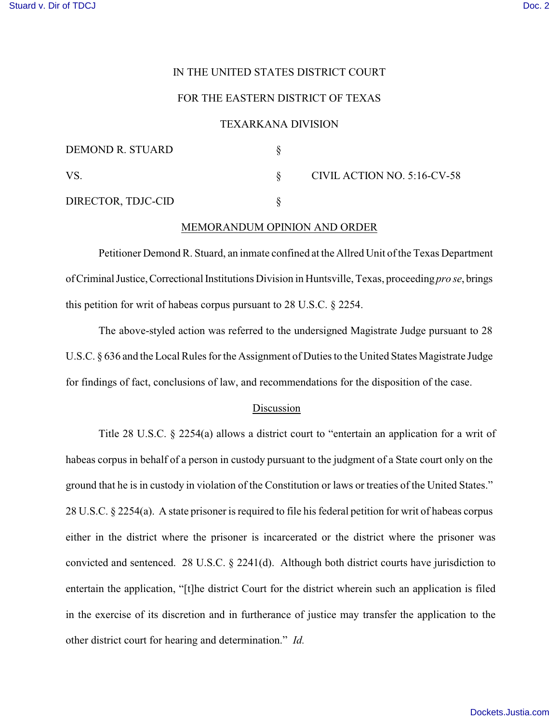# IN THE UNITED STATES DISTRICT COURT

# FOR THE EASTERN DISTRICT OF TEXAS

#### TEXARKANA DIVISION

| DEMOND R. STUARD   |                             |
|--------------------|-----------------------------|
| VS.                | CIVIL ACTION NO. 5:16-CV-58 |
| DIRECTOR, TDJC-CID |                             |

## MEMORANDUM OPINION AND ORDER

Petitioner Demond R. Stuard, an inmate confined at the Allred Unit of the Texas Department of Criminal Justice, Correctional Institutions Division in Huntsville, Texas, proceeding *pro se*, brings this petition for writ of habeas corpus pursuant to 28 U.S.C. § 2254.

The above-styled action was referred to the undersigned Magistrate Judge pursuant to 28 U.S.C. § 636 and the Local Rules for the Assignment of Duties to the United States Magistrate Judge for findings of fact, conclusions of law, and recommendations for the disposition of the case.

## Discussion

Title 28 U.S.C. § 2254(a) allows a district court to "entertain an application for a writ of habeas corpus in behalf of a person in custody pursuant to the judgment of a State court only on the ground that he is in custody in violation of the Constitution or laws or treaties of the United States." 28 U.S.C. § 2254(a). A state prisoner is required to file his federal petition for writ of habeas corpus either in the district where the prisoner is incarcerated or the district where the prisoner was convicted and sentenced. 28 U.S.C. § 2241(d). Although both district courts have jurisdiction to entertain the application, "[t]he district Court for the district wherein such an application is filed in the exercise of its discretion and in furtherance of justice may transfer the application to the other district court for hearing and determination." *Id.*